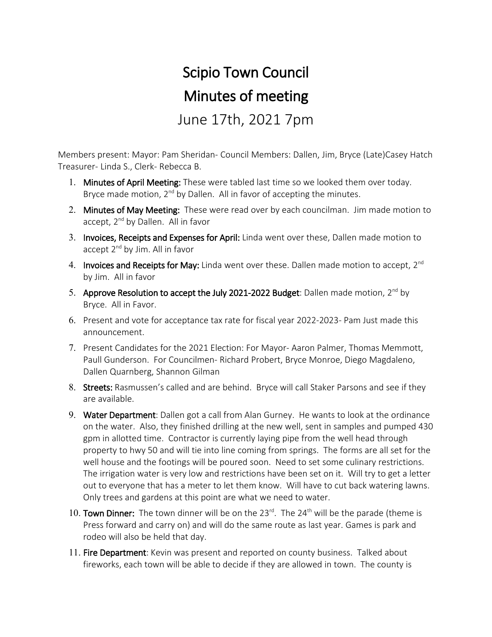## Scipio Town Council Minutes of meeting June 17th, 2021 7pm

Members present: Mayor: Pam Sheridan- Council Members: Dallen, Jim, Bryce (Late)Casey Hatch Treasurer- Linda S., Clerk- Rebecca B.

- 1. Minutes of April Meeting: These were tabled last time so we looked them over today. Bryce made motion,  $2^{nd}$  by Dallen. All in favor of accepting the minutes.
- 2. Minutes of May Meeting: These were read over by each councilman. Jim made motion to accept, 2<sup>nd</sup> by Dallen. All in favor
- 3. Invoices, Receipts and Expenses for April: Linda went over these, Dallen made motion to accept 2<sup>nd</sup> by Jim. All in favor
- 4. Invoices and Receipts for May: Linda went over these. Dallen made motion to accept,  $2^{nd}$ by Jim. All in favor
- 5. Approve Resolution to accept the July 2021-2022 Budget: Dallen made motion,  $2^{nd}$  by Bryce. All in Favor.
- 6. Present and vote for acceptance tax rate for fiscal year 2022-2023- Pam Just made this announcement.
- 7. Present Candidates for the 2021 Election: For Mayor- Aaron Palmer, Thomas Memmott, Paull Gunderson. For Councilmen- Richard Probert, Bryce Monroe, Diego Magdaleno, Dallen Quarnberg, Shannon Gilman
- 8. Streets: Rasmussen's called and are behind. Bryce will call Staker Parsons and see if they are available.
- 9. Water Department: Dallen got a call from Alan Gurney. He wants to look at the ordinance on the water. Also, they finished drilling at the new well, sent in samples and pumped 430 gpm in allotted time. Contractor is currently laying pipe from the well head through property to hwy 50 and will tie into line coming from springs. The forms are all set for the well house and the footings will be poured soon. Need to set some culinary restrictions. The irrigation water is very low and restrictions have been set on it. Will try to get a letter out to everyone that has a meter to let them know. Will have to cut back watering lawns. Only trees and gardens at this point are what we need to water.
- 10. Town Dinner: The town dinner will be on the  $23^{rd}$ . The  $24^{th}$  will be the parade (theme is Press forward and carry on) and will do the same route as last year. Games is park and rodeo will also be held that day.
- 11. Fire Department: Kevin was present and reported on county business. Talked about fireworks, each town will be able to decide if they are allowed in town. The county is